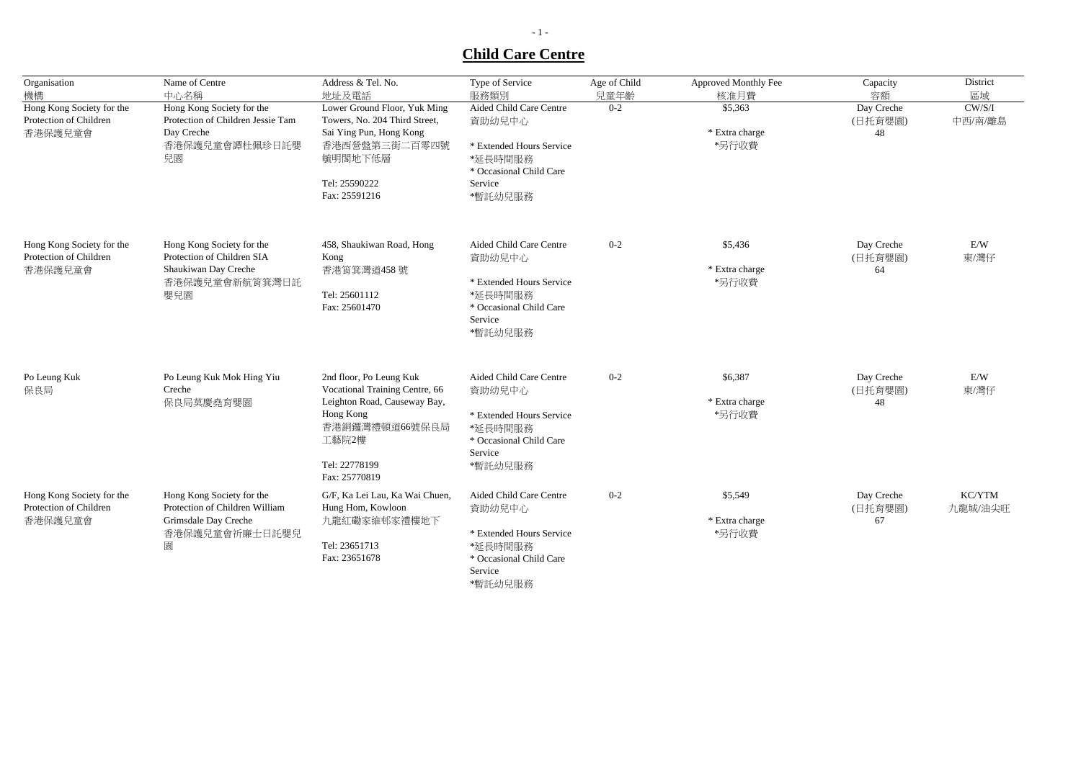## **Child Care Centre**

| Organisation<br>機構                                             | Name of Centre<br>中心名稱                                                                                     | Address & Tel. No.<br>地址及電話                                                                                                                                         | Type of Service<br>服務類別                                                                                                   | Age of Child<br>兒童年齡 | Approved Monthly Fee<br>核准月費       | Capacity<br>容額              | District<br>區域    |
|----------------------------------------------------------------|------------------------------------------------------------------------------------------------------------|---------------------------------------------------------------------------------------------------------------------------------------------------------------------|---------------------------------------------------------------------------------------------------------------------------|----------------------|------------------------------------|-----------------------------|-------------------|
| Hong Kong Society for the<br>Protection of Children<br>香港保護兒童會 | Hong Kong Society for the<br>Protection of Children Jessie Tam<br>Day Creche<br>香港保護兒童會譚杜佩珍日託嬰<br>兒園       | Lower Ground Floor, Yuk Ming<br>Towers, No. 204 Third Street,<br>Sai Ying Pun, Hong Kong<br>香港西營盤第三街二百零四號<br>毓明閣地下低層<br>Tel: 25590222<br>Fax: 25591216              | Aided Child Care Centre<br>資助幼兒中心<br>* Extended Hours Service<br>*延長時間服務<br>* Occasional Child Care<br>Service<br>*暫託幼兒服務 | $0 - 2$              | \$5,363<br>* Extra charge<br>*另行收費 | Day Creche<br>(日托育嬰園)<br>48 | CW/S/I<br>中西/南/離島 |
| Hong Kong Society for the<br>Protection of Children<br>香港保護兒童會 | Hong Kong Society for the<br>Protection of Children SIA<br>Shaukiwan Day Creche<br>香港保護兒童會新航筲箕灣日託<br>嬰兒園   | 458, Shaukiwan Road, Hong<br>Kong<br>香港筲箕灣道458號<br>Tel: 25601112<br>Fax: 25601470                                                                                   | Aided Child Care Centre<br>資助幼兒中心<br>* Extended Hours Service<br>*延長時間服務<br>* Occasional Child Care<br>Service<br>*暫託幼兒服務 | $0 - 2$              | \$5,436<br>* Extra charge<br>*另行收費 | Day Creche<br>(日托育嬰園)<br>64 | E/W<br>東/灣仔       |
| Po Leung Kuk<br>保良局                                            | Po Leung Kuk Mok Hing Yiu<br>Creche<br>保良局莫慶堯育嬰園                                                           | 2nd floor, Po Leung Kuk<br>Vocational Training Centre, 66<br>Leighton Road, Causeway Bay,<br>Hong Kong<br>香港銅鑼灣禮頓道66號保良局<br>工藝院2樓<br>Tel: 22778199<br>Fax: 25770819 | Aided Child Care Centre<br>資助幼兒中心<br>* Extended Hours Service<br>*延長時間服務<br>* Occasional Child Care<br>Service<br>*暫託幼兒服務 | $0 - 2$              | \$6,387<br>* Extra charge<br>*另行收費 | Day Creche<br>(日托育嬰園)<br>48 | E/W<br>東/灣仔       |
| Hong Kong Society for the<br>Protection of Children<br>香港保護兒童會 | Hong Kong Society for the<br>Protection of Children William<br>Grimsdale Day Creche<br>香港保護兒童會祈廉士日託嬰兒<br>園 | G/F, Ka Lei Lau, Ka Wai Chuen,<br>Hung Hom, Kowloon<br>九龍紅磡家維邨家禮樓地下<br>Tel: 23651713<br>Fax: 23651678                                                               | Aided Child Care Centre<br>資助幼兒中心<br>* Extended Hours Service<br>*延長時間服務<br>* Occasional Child Care<br>Service<br>*暫託幼兒服務 | $0 - 2$              | \$5,549<br>* Extra charge<br>*另行收費 | Day Creche<br>(日托育嬰園)<br>67 | KC/YTM<br>九龍城/油尖旺 |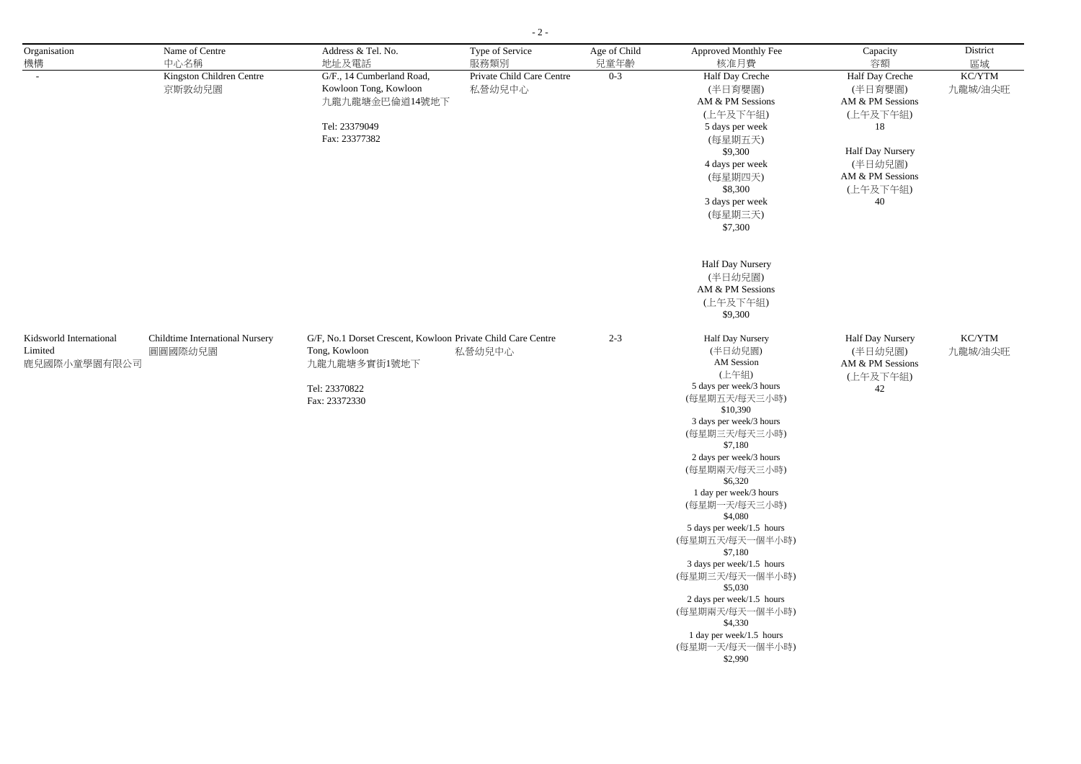| Organisation            | Name of Centre                  | Address & Tel. No.                                           | Type of Service           | Age of Child | Approved Monthly Fee                 | Capacity                    | District |
|-------------------------|---------------------------------|--------------------------------------------------------------|---------------------------|--------------|--------------------------------------|-----------------------------|----------|
| 機構                      | 中心名稱                            | 地址及電話                                                        | 服務類別                      | 兒童年齡         | 核准月費                                 | 容額                          | 區域       |
|                         | Kingston Children Centre        | G/F., 14 Cumberland Road,                                    | Private Child Care Centre | $0 - 3$      | Half Day Creche                      | Half Day Creche             | KC/YTM   |
|                         | 京斯敦幼兒園                          | Kowloon Tong, Kowloon                                        | 私營幼兒中心                    |              | (半日育嬰園)                              | (半日育嬰園)                     | 九龍城/油尖旺  |
|                         |                                 | 九龍九龍塘金巴倫道14號地下                                               |                           |              | AM & PM Sessions                     | AM & PM Sessions            |          |
|                         |                                 |                                                              |                           |              | (上午及下午組)                             | (上午及下午組)                    |          |
|                         |                                 | Tel: 23379049                                                |                           |              | 5 days per week                      | 18                          |          |
|                         |                                 | Fax: 23377382                                                |                           |              | (每星期五天)                              |                             |          |
|                         |                                 |                                                              |                           |              | \$9,300                              | Half Day Nursery            |          |
|                         |                                 |                                                              |                           |              | 4 days per week                      | (半日幼兒園)<br>AM & PM Sessions |          |
|                         |                                 |                                                              |                           |              | (每星期四天)<br>\$8,300                   | (上午及下午組)                    |          |
|                         |                                 |                                                              |                           |              | 3 days per week                      | 40                          |          |
|                         |                                 |                                                              |                           |              | (每星期三天)                              |                             |          |
|                         |                                 |                                                              |                           |              | \$7,300                              |                             |          |
|                         |                                 |                                                              |                           |              |                                      |                             |          |
|                         |                                 |                                                              |                           |              |                                      |                             |          |
|                         |                                 |                                                              |                           |              | Half Day Nursery                     |                             |          |
|                         |                                 |                                                              |                           |              | (半日幼兒園)                              |                             |          |
|                         |                                 |                                                              |                           |              | AM & PM Sessions                     |                             |          |
|                         |                                 |                                                              |                           |              | (上午及下午組)                             |                             |          |
|                         |                                 |                                                              |                           |              | \$9,300                              |                             |          |
| Kidsworld International | Childtime International Nursery | G/F, No.1 Dorset Crescent, Kowloon Private Child Care Centre |                           | $2 - 3$      | Half Day Nursery                     | Half Day Nursery            | KC/YTM   |
| Limited                 | 圓圓國際幼兒園                         | Tong, Kowloon                                                | 私營幼兒中心                    |              | (半日幼兒園)                              | (半日幼兒園)                     | 九龍城/油尖旺  |
| 鹿兒國際小童學園有限公司            |                                 | 九龍九龍塘多實街1號地下                                                 |                           |              | AM Session                           | AM & PM Sessions            |          |
|                         |                                 |                                                              |                           |              | (上午組)                                | (上午及下午組)                    |          |
|                         |                                 | Tel: 23370822                                                |                           |              | 5 days per week/3 hours              | 42                          |          |
|                         |                                 | Fax: 23372330                                                |                           |              | (每星期五天/每天三小時)                        |                             |          |
|                         |                                 |                                                              |                           |              | \$10,390<br>3 days per week/3 hours  |                             |          |
|                         |                                 |                                                              |                           |              | (每星期三天/每天三小時)                        |                             |          |
|                         |                                 |                                                              |                           |              | \$7,180                              |                             |          |
|                         |                                 |                                                              |                           |              | 2 days per week/3 hours              |                             |          |
|                         |                                 |                                                              |                           |              | (每星期兩天/每天三小時)                        |                             |          |
|                         |                                 |                                                              |                           |              | \$6,320                              |                             |          |
|                         |                                 |                                                              |                           |              | 1 day per week/3 hours               |                             |          |
|                         |                                 |                                                              |                           |              | (每星期一天/每天三小時)                        |                             |          |
|                         |                                 |                                                              |                           |              | \$4,080<br>5 days per week/1.5 hours |                             |          |
|                         |                                 |                                                              |                           |              | (每星期五天/每天一個半小時)                      |                             |          |
|                         |                                 |                                                              |                           |              | \$7,180                              |                             |          |
|                         |                                 |                                                              |                           |              | 3 days per week/1.5 hours            |                             |          |
|                         |                                 |                                                              |                           |              | (每星期三天/每天一個半小時)                      |                             |          |
|                         |                                 |                                                              |                           |              | \$5,030                              |                             |          |
|                         |                                 |                                                              |                           |              | 2 days per week/1.5 hours            |                             |          |
|                         |                                 |                                                              |                           |              | (每星期兩天/每天一個半小時)                      |                             |          |
|                         |                                 |                                                              |                           |              | \$4,330<br>1 day per week/1.5 hours  |                             |          |
|                         |                                 |                                                              |                           |              | (每星期一天/每天一個半小時)                      |                             |          |
|                         |                                 |                                                              |                           |              | \$2,990                              |                             |          |
|                         |                                 |                                                              |                           |              |                                      |                             |          |

- 2 -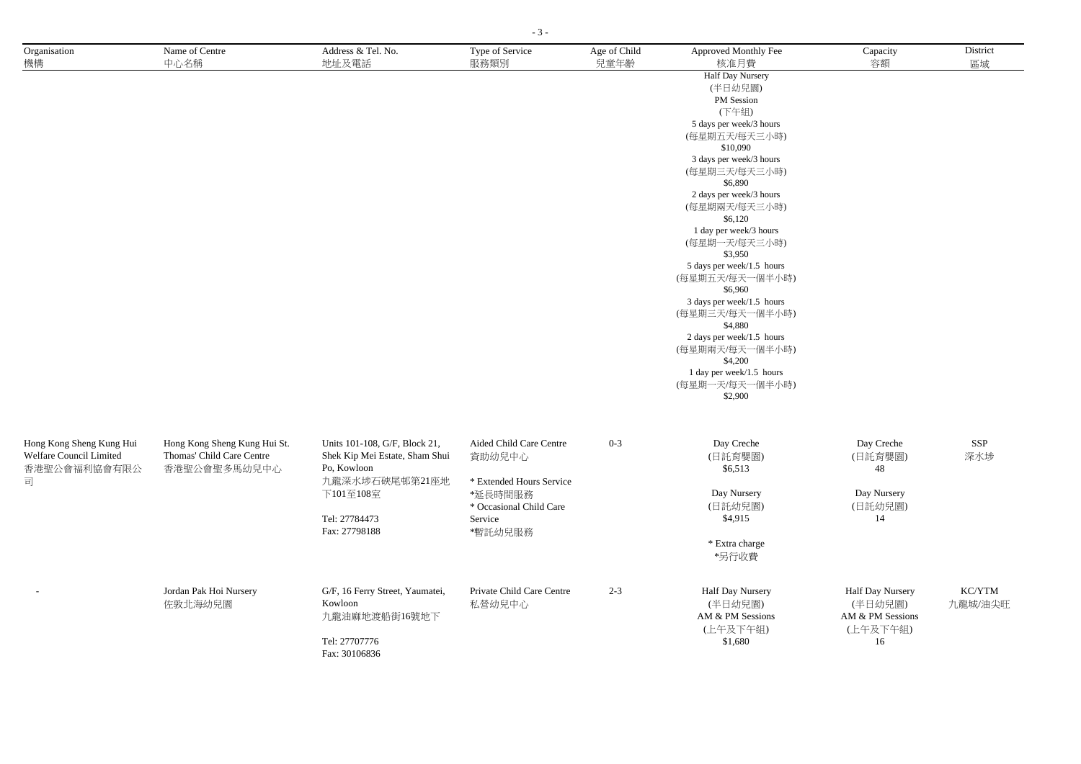| Organisation<br>機構                                                       | Name of Centre<br>中心名稱                                                    | Address & Tel. No.<br>地址及電話                                                                                                                     | Type of Service<br>服務類別                                                                                                   | Age of Child<br>兒童年齡 | Approved Monthly Fee<br>核准月費                                                                                                                                                                                                                                                                                                                                                                                                                                                                                                     | Capacity<br>容額                                                           | District<br>區域    |
|--------------------------------------------------------------------------|---------------------------------------------------------------------------|-------------------------------------------------------------------------------------------------------------------------------------------------|---------------------------------------------------------------------------------------------------------------------------|----------------------|----------------------------------------------------------------------------------------------------------------------------------------------------------------------------------------------------------------------------------------------------------------------------------------------------------------------------------------------------------------------------------------------------------------------------------------------------------------------------------------------------------------------------------|--------------------------------------------------------------------------|-------------------|
|                                                                          |                                                                           |                                                                                                                                                 |                                                                                                                           |                      | <b>Half Day Nursery</b><br>(半日幼兒園)<br>PM Session<br>(下午組)<br>5 days per week/3 hours<br>(每星期五天/每天三小時)<br>\$10,090<br>3 days per week/3 hours<br>(每星期三天/每天三小時)<br>\$6,890<br>2 days per week/3 hours<br>(每星期兩天/每天三小時)<br>\$6,120<br>1 day per week/3 hours<br>(每星期一天/每天三小時)<br>\$3,950<br>5 days per week/1.5 hours<br>(每星期五天/每天一個半小時)<br>\$6,960<br>3 days per week/1.5 hours<br>(每星期三天/每天一個半小時)<br>\$4,880<br>2 days per week/1.5 hours<br>(每星期兩天/每天一個半小時)<br>\$4,200<br>1 day per week/1.5 hours<br>(每星期一天/每天一個半小時)<br>\$2,900 |                                                                          |                   |
| Hong Kong Sheng Kung Hui<br>Welfare Council Limited<br>香港聖公會福利協會有限公<br>司 | Hong Kong Sheng Kung Hui St.<br>Thomas' Child Care Centre<br>香港聖公會聖多馬幼兒中心 | Units 101-108, G/F, Block 21,<br>Shek Kip Mei Estate, Sham Shui<br>Po, Kowloon<br>九龍深水埗石硤尾邨第21座地<br>下101至108室<br>Tel: 27784473<br>Fax: 27798188 | Aided Child Care Centre<br>資助幼兒中心<br>* Extended Hours Service<br>*延長時間服務<br>* Occasional Child Care<br>Service<br>*暫託幼兒服務 | $0 - 3$              | Day Creche<br>(日託育嬰園)<br>\$6,513<br>Day Nursery<br>(日託幼兒園)<br>\$4,915<br>* Extra charge<br>*另行收費                                                                                                                                                                                                                                                                                                                                                                                                                                 | Day Creche<br>(日託育嬰園)<br>48<br>Day Nursery<br>(日託幼兒園)<br>14              | SSP<br>深水埗        |
|                                                                          | Jordan Pak Hoi Nursery<br>佐敦北海幼兒園                                         | G/F, 16 Ferry Street, Yaumatei,<br>Kowloon<br>九龍油麻地渡船街16號地下<br>Tel: 27707776<br>Fax: 30106836                                                   | Private Child Care Centre<br>私營幼兒中心                                                                                       | $2 - 3$              | Half Day Nursery<br>(半日幼兒園)<br>AM & PM Sessions<br>(上午及下午組)<br>\$1,680                                                                                                                                                                                                                                                                                                                                                                                                                                                           | <b>Half Day Nursery</b><br>(半日幼兒園)<br>AM & PM Sessions<br>(上午及下午組)<br>16 | KC/YTM<br>九龍城/油尖旺 |

- 3 -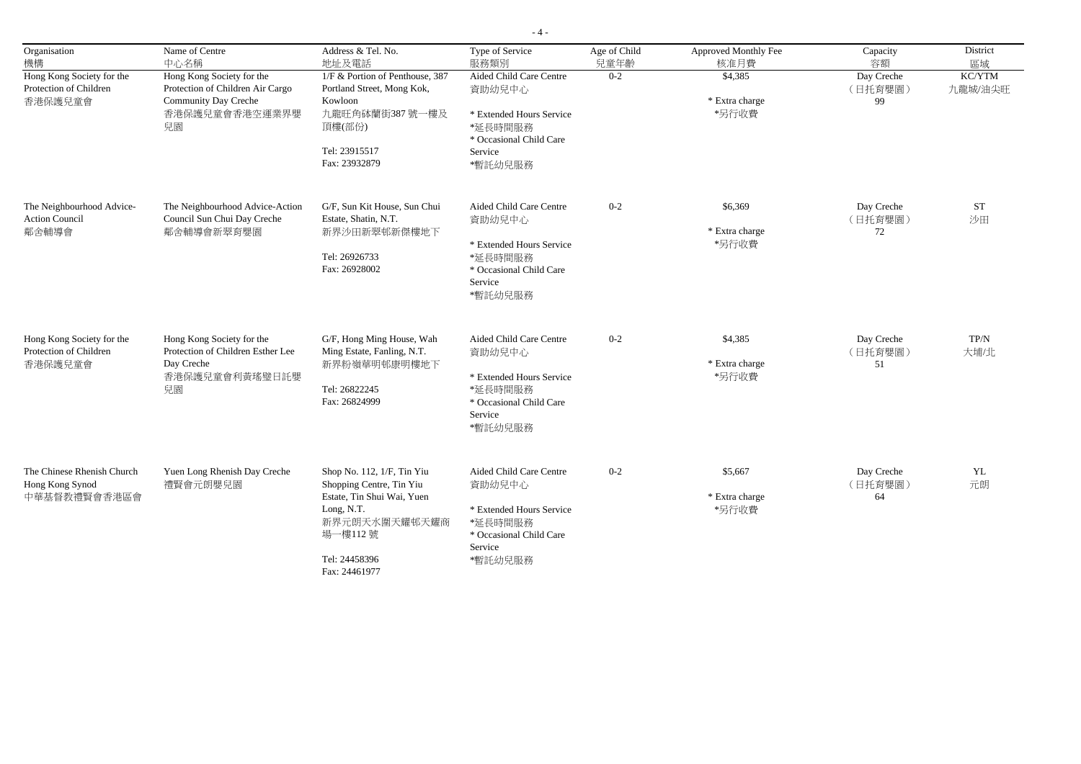| Organisation<br>機構                                             | Name of Centre<br>中心名稱                                                                                        | Address & Tel. No.<br>地址及電話                                                                                                                     | Type of Service<br>服務類別                                                                                                   | Age of Child<br>兒童年齡 | Approved Monthly Fee<br>核准月費       | Capacity<br>容額              | District<br>區域    |
|----------------------------------------------------------------|---------------------------------------------------------------------------------------------------------------|-------------------------------------------------------------------------------------------------------------------------------------------------|---------------------------------------------------------------------------------------------------------------------------|----------------------|------------------------------------|-----------------------------|-------------------|
| Hong Kong Society for the<br>Protection of Children<br>香港保護兒童會 | Hong Kong Society for the<br>Protection of Children Air Cargo<br>Community Day Creche<br>香港保護兒童會香港空運業界嬰<br>兒園 | 1/F & Portion of Penthouse, 387<br>Portland Street, Mong Kok,<br>Kowloon<br>九龍旺角砵蘭街387號一樓及<br>頂樓(部份)<br>Tel: 23915517<br>Fax: 23932879          | Aided Child Care Centre<br>資助幼兒中心<br>* Extended Hours Service<br>*延長時間服務<br>* Occasional Child Care<br>Service<br>*暫託幼兒服務 | $0 - 2$              | \$4,385<br>* Extra charge<br>*另行收費 | Day Creche<br>(日托育嬰園)<br>99 | KC/YTM<br>九龍城/油尖旺 |
| The Neighbourhood Advice-<br><b>Action Council</b><br>鄰舍輔導會    | The Neighbourhood Advice-Action<br>Council Sun Chui Day Creche<br>鄰舍輔導會新翠育嬰園                                  | G/F, Sun Kit House, Sun Chui<br>Estate, Shatin, N.T.<br>新界沙田新翠邨新傑樓地下<br>Tel: 26926733<br>Fax: 26928002                                          | Aided Child Care Centre<br>資助幼兒中心<br>* Extended Hours Service<br>*延長時間服務<br>* Occasional Child Care<br>Service<br>*暫託幼兒服務 | $0 - 2$              | \$6,369<br>* Extra charge<br>*另行收費 | Day Creche<br>(日托育嬰園)<br>72 | <b>ST</b><br>沙田   |
| Hong Kong Society for the<br>Protection of Children<br>香港保護兒童會 | Hong Kong Society for the<br>Protection of Children Esther Lee<br>Day Creche<br>香港保護兒童會利黃瑤璧日託嬰<br>兒園          | G/F, Hong Ming House, Wah<br>Ming Estate, Fanling, N.T.<br>新界粉嶺華明邨康明樓地下<br>Tel: 26822245<br>Fax: 26824999                                       | Aided Child Care Centre<br>資助幼兒中心<br>* Extended Hours Service<br>*延長時間服務<br>* Occasional Child Care<br>Service<br>*暫託幼兒服務 | $0 - 2$              | \$4,385<br>* Extra charge<br>*另行收費 | Day Creche<br>(日托育嬰園)<br>51 | TP/N<br>大埔/北      |
| The Chinese Rhenish Church<br>Hong Kong Synod<br>中華基督教禮賢會香港區會  | Yuen Long Rhenish Day Creche<br>禮賢會元朗嬰兒園                                                                      | Shop No. 112, 1/F, Tin Yiu<br>Shopping Centre, Tin Yiu<br>Estate, Tin Shui Wai, Yuen<br>Long, N.T.<br>新界元朗天水圍天耀邨天耀商<br>場一樓112號<br>Tel: 24458396 | Aided Child Care Centre<br>資助幼兒中心<br>* Extended Hours Service<br>*延長時間服務<br>* Occasional Child Care<br>Service<br>*暫託幼兒服務 | $0 - 2$              | \$5,667<br>* Extra charge<br>*另行收費 | Day Creche<br>(日托育嬰園)<br>64 | YL<br>元朗          |

Fax: 24461977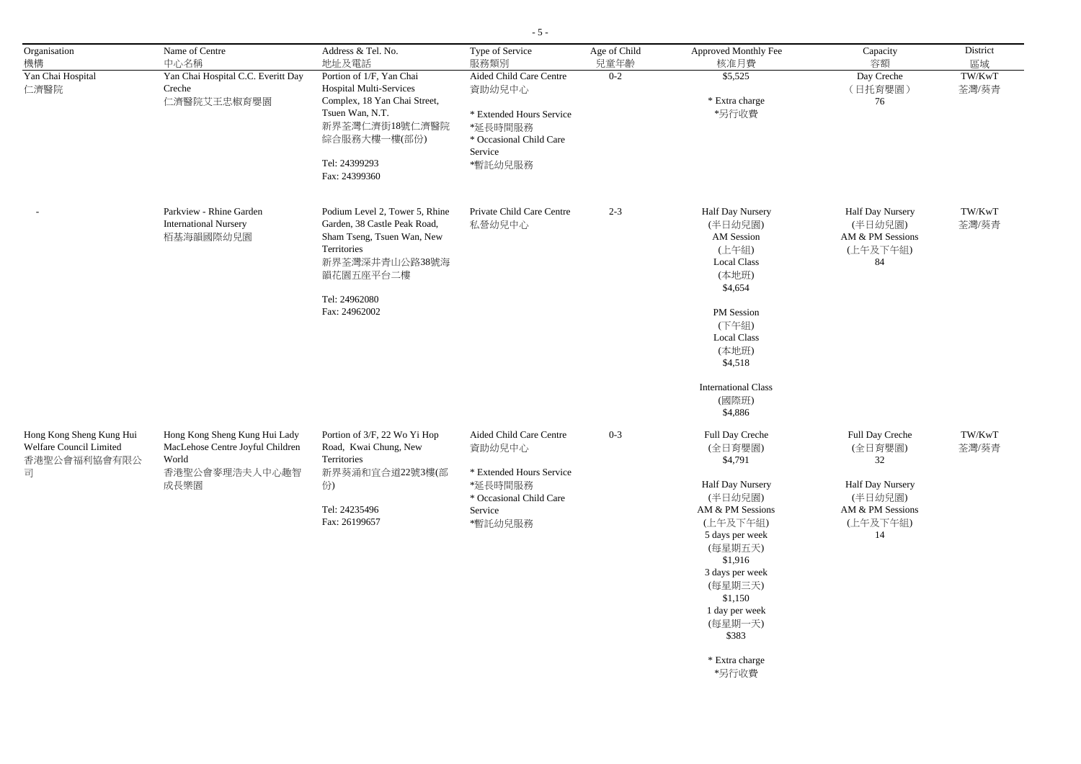| Organisation                                        | Name of Centre                                                    | Address & Tel. No.                                         | Type of Service                     | Age of Child    | Approved Monthly Fee                                            | Capacity                     | District        |
|-----------------------------------------------------|-------------------------------------------------------------------|------------------------------------------------------------|-------------------------------------|-----------------|-----------------------------------------------------------------|------------------------------|-----------------|
| 機構<br>Yan Chai Hospital                             | 中心名稱<br>Yan Chai Hospital C.C. Everitt Day                        | 地址及電話<br>Portion of 1/F, Yan Chai                          | 服務類別<br>Aided Child Care Centre     | 兒童年齡<br>$0 - 2$ | 核准月費<br>\$5,525                                                 | 容額<br>Day Creche             | 區域<br>TW/KwT    |
| 仁濟醫院                                                | Creche                                                            | <b>Hospital Multi-Services</b>                             | 資助幼兒中心                              |                 |                                                                 | (日托育嬰園)                      | 荃灣/葵青           |
|                                                     | 仁濟醫院艾王忠椒育嬰園                                                       | Complex, 18 Yan Chai Street,                               |                                     |                 | $\displaystyle{ \raisebox{0.6ex}{\scriptsize{*}}}$ Extra charge | 76                           |                 |
|                                                     |                                                                   | Tsuen Wan, N.T.<br>新界荃灣仁濟街18號仁濟醫院                          | * Extended Hours Service<br>*延長時間服務 |                 | *另行收費                                                           |                              |                 |
|                                                     |                                                                   | 綜合服務大樓一樓(部份)                                               | * Occasional Child Care             |                 |                                                                 |                              |                 |
|                                                     |                                                                   |                                                            | Service                             |                 |                                                                 |                              |                 |
|                                                     |                                                                   | Tel: 24399293<br>Fax: 24399360                             | *暫託幼兒服務                             |                 |                                                                 |                              |                 |
|                                                     | Parkview - Rhine Garden                                           | Podium Level 2, Tower 5, Rhine                             | Private Child Care Centre           | $2 - 3$         | Half Day Nursery                                                | Half Day Nursery             | TW/KwT          |
|                                                     | <b>International Nursery</b><br>栢基海韻國際幼兒園                         | Garden, 38 Castle Peak Road,<br>Sham Tseng, Tsuen Wan, New | 私營幼兒中心                              |                 | (半日幼兒園)<br>AM Session                                           | (半日幼兒園)<br>AM & PM Sessions  | 荃灣/葵青           |
|                                                     |                                                                   | Territories                                                |                                     |                 | (上午組)                                                           | (上午及下午組)                     |                 |
|                                                     |                                                                   | 新界荃灣深井青山公路38號海<br>韻花園五座平台二樓                                |                                     |                 | <b>Local Class</b><br>(本地班)                                     | 84                           |                 |
|                                                     |                                                                   | Tel: 24962080                                              |                                     |                 | \$4,654                                                         |                              |                 |
|                                                     |                                                                   | Fax: 24962002                                              |                                     |                 | PM Session                                                      |                              |                 |
|                                                     |                                                                   |                                                            |                                     |                 | (下午組)                                                           |                              |                 |
|                                                     |                                                                   |                                                            |                                     |                 | <b>Local Class</b><br>(本地班)                                     |                              |                 |
|                                                     |                                                                   |                                                            |                                     |                 | \$4,518                                                         |                              |                 |
|                                                     |                                                                   |                                                            |                                     |                 | <b>International Class</b>                                      |                              |                 |
|                                                     |                                                                   |                                                            |                                     |                 | (國際班)<br>\$4,886                                                |                              |                 |
|                                                     |                                                                   |                                                            |                                     |                 |                                                                 |                              |                 |
| Hong Kong Sheng Kung Hui<br>Welfare Council Limited | Hong Kong Sheng Kung Hui Lady<br>MacLehose Centre Joyful Children | Portion of 3/F, 22 Wo Yi Hop<br>Road, Kwai Chung, New      | Aided Child Care Centre<br>資助幼兒中心   | $0 - 3$         | Full Day Creche<br>(全日育嬰園)                                      | Full Day Creche<br>(全日育嬰園)   | TW/KwT<br>荃灣/葵青 |
| 香港聖公會福利協會有限公<br>司                                   | World<br>香港聖公會麥理浩夫人中心趣智<br>成長樂園                                   | Territories<br>新界葵涌和宜合道22號3樓(部                             | * Extended Hours Service            |                 | \$4,791                                                         | 32                           |                 |
|                                                     |                                                                   | 份)<br>*延長時間服務                                              |                                     |                 | <b>Half Day Nursery</b>                                         | <b>Half Day Nursery</b>      |                 |
|                                                     |                                                                   |                                                            | * Occasional Child Care             |                 | (半日幼兒園)                                                         | (半日幼兒園)                      |                 |
|                                                     |                                                                   | Tel: 24235496<br>Fax: 26199657                             | Service<br>*暫託幼兒服務                  |                 | AM & PM Sessions<br>(上午及下午組)                                    | AM & PM Sessions<br>(上午及下午組) |                 |
|                                                     |                                                                   |                                                            |                                     |                 | 5 days per week                                                 | 14                           |                 |
|                                                     |                                                                   |                                                            |                                     |                 | (每星期五天)<br>\$1,916                                              |                              |                 |
|                                                     |                                                                   |                                                            |                                     |                 | 3 days per week                                                 |                              |                 |
|                                                     |                                                                   |                                                            |                                     |                 | (每星期三天)<br>\$1,150                                              |                              |                 |
|                                                     |                                                                   |                                                            |                                     |                 | 1 day per week                                                  |                              |                 |
|                                                     |                                                                   |                                                            |                                     |                 | (每星期一天)<br>\$383                                                |                              |                 |
|                                                     |                                                                   |                                                            |                                     |                 | * Extra charge                                                  |                              |                 |
|                                                     |                                                                   |                                                            |                                     |                 | *另行收費                                                           |                              |                 |

- 5 -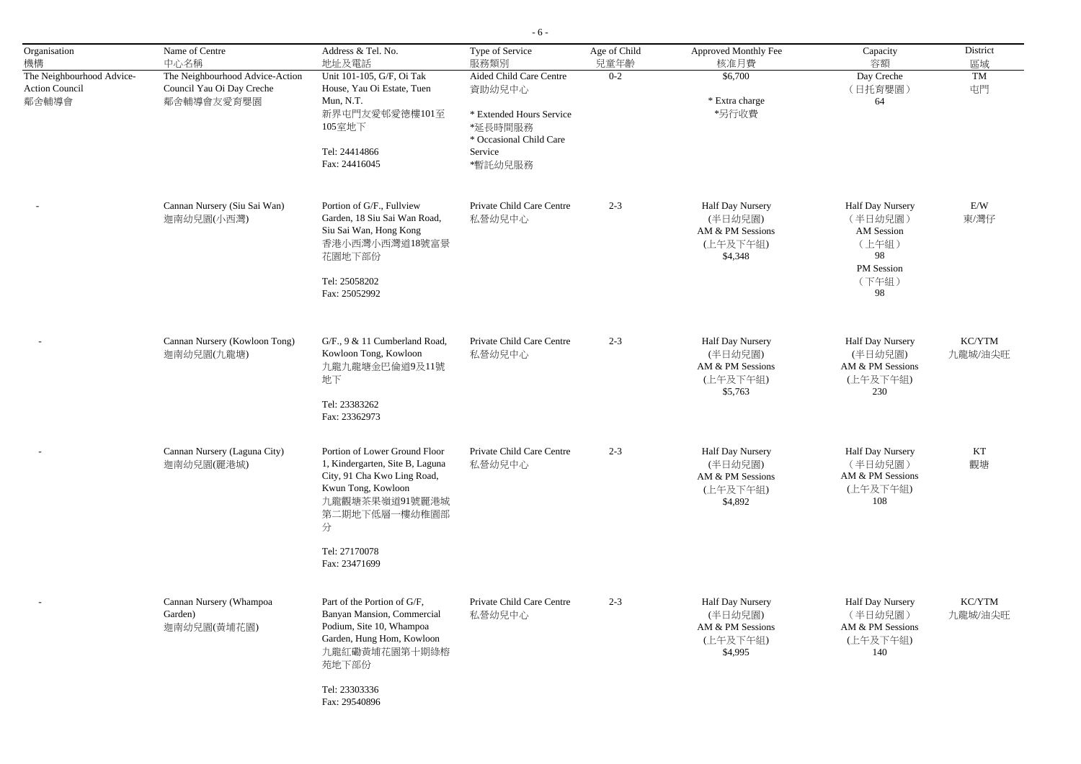- 6 -

| Organisation<br>機構                                          | Name of Centre<br>中心名稱                                                     | Address & Tel. No.<br>地址及電話                                                                                                                                                                     | Type of Service<br>服務類別                                                                                                   | Age of Child<br>兒童年齡 | Approved Monthly Fee<br>核准月費                                                  | Capacity<br>容額                                                                               | District<br>區域    |
|-------------------------------------------------------------|----------------------------------------------------------------------------|-------------------------------------------------------------------------------------------------------------------------------------------------------------------------------------------------|---------------------------------------------------------------------------------------------------------------------------|----------------------|-------------------------------------------------------------------------------|----------------------------------------------------------------------------------------------|-------------------|
| The Neighbourhood Advice-<br><b>Action Council</b><br>鄰舍輔導會 | The Neighbourhood Advice-Action<br>Council Yau Oi Day Creche<br>鄰舍輔導會友愛育嬰園 | Unit 101-105, G/F, Oi Tak<br>House, Yau Oi Estate, Tuen<br>Mun, N.T.<br>新界屯門友愛邨愛德樓101至<br>105室地下<br>Tel: 24414866<br>Fax: 24416045                                                              | Aided Child Care Centre<br>資助幼兒中心<br>* Extended Hours Service<br>*延長時間服務<br>* Occasional Child Care<br>Service<br>*暫託幼兒服務 | $0 - 2$              | \$6,700<br>* Extra charge<br>*另行收費                                            | Day Creche<br>(日托育嬰園)<br>64                                                                  | TM<br>屯門          |
|                                                             | Cannan Nursery (Siu Sai Wan)<br>迦南幼兒園(小西灣)                                 | Portion of G/F., Fullview<br>Garden, 18 Siu Sai Wan Road,<br>Siu Sai Wan, Hong Kong<br>香港小西灣小西灣道18號富景<br>花園地下部份<br>Tel: 25058202<br>Fax: 25052992                                               | Private Child Care Centre<br>私營幼兒中心                                                                                       | $2 - 3$              | Half Day Nursery<br>(半日幼兒園)<br>AM & PM Sessions<br>(上午及下午組)<br>\$4,348        | <b>Half Day Nursery</b><br>(半日幼兒園)<br>AM Session<br>(上午組)<br>98<br>PM Session<br>(下午組)<br>98 | E/W<br>東/灣仔       |
|                                                             | Cannan Nursery (Kowloon Tong)<br>迦南幼兒園(九龍塘)                                | G/F., 9 & 11 Cumberland Road,<br>Kowloon Tong, Kowloon<br>九龍九龍塘金巴倫道9及11號<br>地下<br>Tel: 23383262<br>Fax: 23362973                                                                                | Private Child Care Centre<br>私營幼兒中心                                                                                       | $2 - 3$              | Half Day Nursery<br>(半日幼兒園)<br>AM & PM Sessions<br>(上午及下午組)<br>\$5,763        | Half Day Nursery<br>(半日幼兒園)<br>AM & PM Sessions<br>(上午及下午組)<br>230                           | KC/YTM<br>九龍城/油尖旺 |
|                                                             | Cannan Nursery (Laguna City)<br>迦南幼兒園(麗港城)                                 | Portion of Lower Ground Floor<br>1, Kindergarten, Site B, Laguna<br>City, 91 Cha Kwo Ling Road,<br>Kwun Tong, Kowloon<br>九龍觀塘茶果嶺道91號麗港城<br>第二期地下低層一樓幼稚園部<br>分<br>Tel: 27170078<br>Fax: 23471699 | Private Child Care Centre<br>私營幼兒中心                                                                                       | $2 - 3$              | Half Day Nursery<br>(半日幼兒園)<br>AM & PM Sessions<br>(上午及下午組)<br>\$4,892        | Half Day Nursery<br>(半日幼兒園)<br>AM & PM Sessions<br>(上午及下午組)<br>108                           | KT<br>觀塘          |
|                                                             | Cannan Nursery (Whampoa<br>Garden)<br>迦南幼兒園(黃埔花園)                          | Part of the Portion of G/F,<br>Banyan Mansion, Commercial<br>Podium, Site 10, Whampoa<br>Garden, Hung Hom, Kowloon<br>九龍紅磡黃埔花園第十期綠榕<br>苑地下部份<br>Tel: 23303336<br>Fax: 29540896                  | Private Child Care Centre<br>私營幼兒中心                                                                                       | $2 - 3$              | <b>Half Day Nursery</b><br>(半日幼兒園)<br>AM & PM Sessions<br>(上午及下午組)<br>\$4,995 | <b>Half Day Nursery</b><br>(半日幼兒園)<br>AM & PM Sessions<br>(上午及下午組)<br>140                    | KC/YTM<br>九龍城/油尖旺 |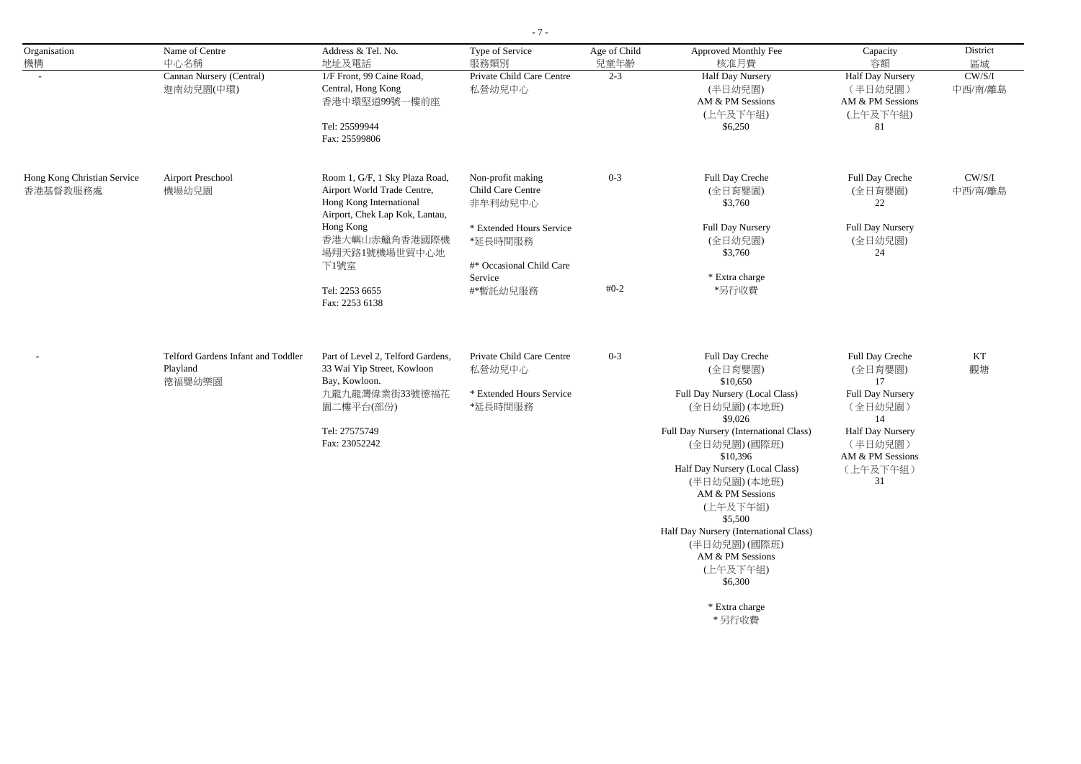- 7 -

| Organisation                            | Name of Centre                                           | Address & Tel. No.                                                                                                         | Type of Service                                                 | Age of Child | Approved Monthly Fee                                                       | Capacity                                        | District                |
|-----------------------------------------|----------------------------------------------------------|----------------------------------------------------------------------------------------------------------------------------|-----------------------------------------------------------------|--------------|----------------------------------------------------------------------------|-------------------------------------------------|-------------------------|
| 機構                                      | 中心名稱                                                     | 地址及電話                                                                                                                      | 服務類別                                                            | 兒童年齡         | 核准月費                                                                       | 容額                                              | 區域                      |
|                                         | Cannan Nursery (Central)<br>迦南幼兒園(中環)                    | 1/F Front, 99 Caine Road,<br>Central, Hong Kong<br>香港中環堅道99號一樓前座                                                           | Private Child Care Centre<br>私營幼兒中心                             | $2 - 3$      | Half Day Nursery<br>(半日幼兒園)<br>AM & PM Sessions                            | Half Day Nursery<br>(半日幼兒園)<br>AM & PM Sessions | $\rm CW/S/I$<br>中西/南/離島 |
|                                         |                                                          | Tel: 25599944<br>Fax: 25599806                                                                                             |                                                                 |              | (上午及下午組)<br>\$6,250                                                        | (上午及下午組)<br>81                                  |                         |
| Hong Kong Christian Service<br>香港基督教服務處 | <b>Airport Preschool</b><br>機場幼兒園                        | Room 1, G/F, 1 Sky Plaza Road,<br>Airport World Trade Centre,<br>Hong Kong International<br>Airport, Chek Lap Kok, Lantau, | Non-profit making<br>Child Care Centre<br>非牟利幼兒中心               | $0 - 3$      | Full Day Creche<br>(全日育嬰園)<br>\$3,760                                      | Full Day Creche<br>(全日育嬰園)<br>22                | CW/S/I<br>中西/南/離島       |
|                                         |                                                          | Hong Kong<br>香港大嶼山赤鱲角香港國際機<br>場翔天路1號機場世貿中心地<br>下1號室                                                                        | * Extended Hours Service<br>*延長時間服務<br>#* Occasional Child Care |              | Full Day Nursery<br>(全日幼兒園)<br>\$3,760                                     | <b>Full Day Nursery</b><br>(全日幼兒園)<br>24        |                         |
|                                         |                                                          | Tel: 2253 6655                                                                                                             | Service<br>#*暫託幼兒服務                                             | $#0-2$       | * Extra charge<br>*另行收費                                                    |                                                 |                         |
|                                         |                                                          | Fax: 2253 6138                                                                                                             |                                                                 |              |                                                                            |                                                 |                         |
|                                         | Telford Gardens Infant and Toddler<br>Playland<br>德福嬰幼樂園 | Part of Level 2, Telford Gardens,<br>33 Wai Yip Street, Kowloon<br>Bay, Kowloon.                                           | Private Child Care Centre<br>私營幼兒中心                             | $0 - 3$      | Full Day Creche<br>(全日育嬰園)<br>\$10,650                                     | Full Day Creche<br>(全日育嬰園)<br>17                | KT<br>觀塘                |
|                                         |                                                          | 九龍九龍灣偉業街33號德福花<br>園二樓平台(部份)                                                                                                | * Extended Hours Service<br>*延長時間服務                             |              | Full Day Nursery (Local Class)<br>(全日幼兒園)(本地班)<br>\$9,026                  | Full Day Nursery<br>(全日幼兒園)<br>14               |                         |
|                                         |                                                          | Tel: 27575749<br>Fax: 23052242                                                                                             |                                                                 |              | Full Day Nursery (International Class)<br>(全日幼兒園)(國際班)<br>\$10,396         | Half Day Nursery<br>(半日幼兒園)<br>AM & PM Sessions |                         |
|                                         |                                                          |                                                                                                                            |                                                                 |              | Half Day Nursery (Local Class)<br>(半日幼兒園)(本地班)<br>AM & PM Sessions         | (上午及下午組)<br>31                                  |                         |
|                                         |                                                          |                                                                                                                            |                                                                 |              | (上午及下午組)<br>\$5,500                                                        |                                                 |                         |
|                                         |                                                          |                                                                                                                            |                                                                 |              | Half Day Nursery (International Class)<br>(半日幼兒園)(國際班)<br>AM & PM Sessions |                                                 |                         |
|                                         |                                                          |                                                                                                                            |                                                                 |              | (上午及下午組)<br>\$6,300                                                        |                                                 |                         |
|                                         |                                                          |                                                                                                                            |                                                                 |              | * Extra charge<br>*另行收費                                                    |                                                 |                         |